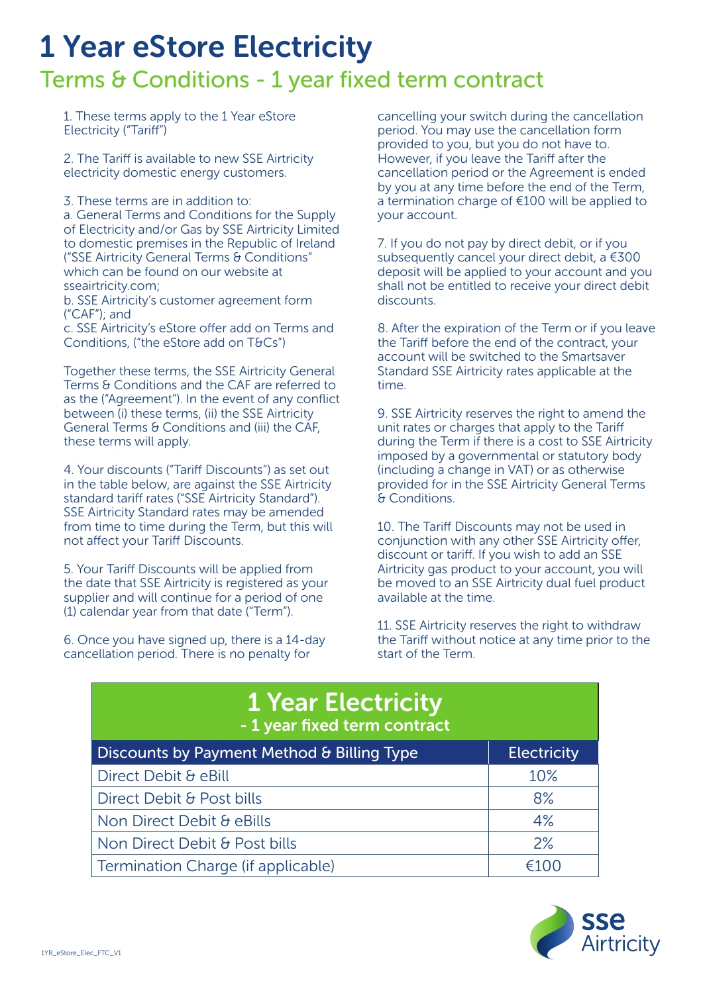## 1 Year eStore Electricity

## Terms & Conditions - 1 year fixed term contract

1. These terms apply to the 1 Year eStore Electricity ("Tariff")

2. The Tariff is available to new SSE Airtricity electricity domestic energy customers.

3. These terms are in addition to:

a. General Terms and Conditions for the Supply of Electricity and/or Gas by SSE Airtricity Limited to domestic premises in the Republic of Ireland ("SSE Airtricity General Terms & Conditions" which can be found on our website at sseairtricity.com;

b. SSE Airtricity's customer agreement form ("CAF"); and

c. SSE Airtricity's eStore offer add on Terms and Conditions, ("the eStore add on T&Cs")

Together these terms, the SSE Airtricity General Terms & Conditions and the CAF are referred to as the ("Agreement"). In the event of any conflict between (i) these terms, (ii) the SSE Airtricity General Terms & Conditions and (iii) the CAF, these terms will apply.

4. Your discounts ("Tariff Discounts") as set out in the table below, are against the SSE Airtricity standard tariff rates ("SSE Airtricity Standard"). SSE Airtricity Standard rates may be amended from time to time during the Term, but this will not affect your Tariff Discounts.

5. Your Tariff Discounts will be applied from the date that SSE Airtricity is registered as your supplier and will continue for a period of one (1) calendar year from that date ("Term").

6. Once you have signed up, there is a 14-day cancellation period. There is no penalty for

cancelling your switch during the cancellation period. You may use the cancellation form provided to you, but you do not have to. However, if you leave the Tariff after the cancellation period or the Agreement is ended by you at any time before the end of the Term, a termination charge of €100 will be applied to your account.

7. If you do not pay by direct debit, or if you subsequently cancel your direct debit, a €300 deposit will be applied to your account and you shall not be entitled to receive your direct debit discounts.

8. After the expiration of the Term or if you leave the Tariff before the end of the contract, your account will be switched to the Smartsaver Standard SSE Airtricity rates applicable at the time.

9. SSE Airtricity reserves the right to amend the unit rates or charges that apply to the Tariff during the Term if there is a cost to SSE Airtricity imposed by a governmental or statutory body (including a change in VAT) or as otherwise provided for in the SSE Airtricity General Terms & Conditions.

10. The Tariff Discounts may not be used in conjunction with any other SSE Airtricity offer, discount or tariff. If you wish to add an SSE Airtricity gas product to your account, you will be moved to an SSE Airtricity dual fuel product available at the time.

11. SSE Airtricity reserves the right to withdraw the Tariff without notice at any time prior to the start of the Term.

| <b>1 Year Electricity</b><br>- 1 year fixed term contract |                    |
|-----------------------------------------------------------|--------------------|
| Discounts by Payment Method & Billing Type                | <b>Electricity</b> |
| Direct Debit & eBill                                      | 10%                |
| Direct Debit & Post bills                                 | 8%                 |
| Non Direct Debit & eBills                                 | 4%                 |
| Non Direct Debit & Post bills                             | 2%                 |
| Termination Charge (if applicable)                        | €100               |